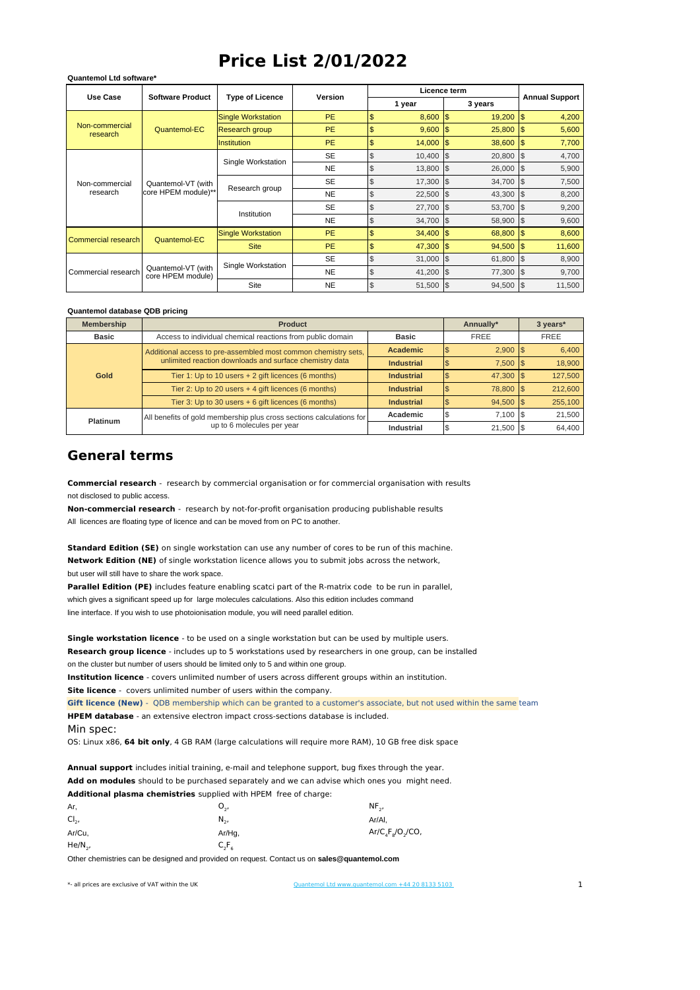## **Price List 2/01/2022**

| <b>Use Case</b>            | <b>Software Product</b>                   | <b>Type of Licence</b>    | <b>Version</b> |                              | Licence term |                                   |                          |
|----------------------------|-------------------------------------------|---------------------------|----------------|------------------------------|--------------|-----------------------------------|--------------------------|
|                            |                                           |                           |                |                              | 1 year       | <b>Annual Support</b>             |                          |
| Non-commercial<br>research | Quantemol-EC                              | <b>Single Workstation</b> | <b>PE</b>      | \$                           | 8,600        | 19,200<br>\$                      | \$<br>4,200              |
|                            |                                           | Research group            | <b>PE</b>      | \$                           | 9,600        | \$<br>25,800                      | \$<br>5,600              |
|                            |                                           | <b>Institution</b>        | <b>PE</b>      | \$                           | 14,000       | 38,600<br>$\overline{\mathbf{3}}$ | $\mathfrak{s}$<br>7,700  |
|                            | Quantemol-VT (with<br>core HPEM module)** | Single Workstation        | <b>SE</b>      | \$                           | 10,400       | \$<br>20,800                      | \$<br>4,700              |
|                            |                                           |                           | <b>NE</b>      | \$                           | 13,800       | \$<br>26,000                      | 5,900<br>$\sqrt{3}$      |
| Non-commercial             |                                           |                           | <b>SE</b>      | \$                           | 17,300       | \$<br>34,700                      | 7,500<br>\$              |
| research                   |                                           | Research group            | <b>NE</b>      | \$<br>22,500<br>\$<br>43,300 | 8,200<br>5   |                                   |                          |
|                            |                                           | Institution               | <b>SE</b>      | \$                           | 27,700       | 1\$<br>53,700                     | $\sqrt{3}$<br>9,200      |
|                            |                                           |                           | NE.            | \$                           | 34,700       | \$<br>58,900                      | 9,600<br>\$              |
| Commercial research        | Quantemol-EC                              | <b>Single Workstation</b> | <b>PE</b>      | \$                           | 34,400       | $\overline{\mathbf{3}}$<br>68,800 | 8,600<br>1\$             |
|                            |                                           | <b>Site</b>               | <b>PE</b>      | \$                           | 47,300       | 94,500<br>\$                      | 11,600<br>$\mathfrak{s}$ |
| Commercial research        | Quantemol-VT (with<br>core HPEM module)   | Single Workstation        | <b>SE</b>      | \$                           | 31,000       | \$<br>61,800                      | \$<br>8,900              |
|                            |                                           |                           | <b>NE</b>      | \$                           | 41,200       | 77,300<br>1\$                     | 9,700<br>$\sqrt{3}$      |
|                            |                                           | Site                      | <b>NE</b>      | \$                           | 51,500       | 94,500<br>\$                      | 11,500<br>\$             |

## **Quantemol database QDB pricing**

**Quantemol Ltd software\***

| <b>Membership</b> | <b>Product</b>                                                       | Annually*         | 3 years*           |             |
|-------------------|----------------------------------------------------------------------|-------------------|--------------------|-------------|
| <b>Basic</b>      | Access to individual chemical reactions from public domain           | <b>Basic</b>      | <b>FREE</b>        | <b>FREE</b> |
| Gold              | Additional access to pre-assembled most common chemistry sets,       | <b>Academic</b>   | $2.900$  \$        | 6,400       |
|                   | unlimited reaction downloads and surface chemistry data              | <b>Industrial</b> | $7.500$ $\sqrt{3}$ | 18,900      |
|                   | Tier 1: Up to 10 users + 2 gift licences (6 months)                  | <b>Industrial</b> | 47.300 \$          | 127,500     |
|                   | Tier 2: Up to 20 users + 4 gift licences (6 months)                  | <b>Industrial</b> | 78,800 \$          | 212,600     |
|                   | Tier 3: Up to 30 users + 6 gift licences (6 months)                  | <b>Industrial</b> | $94.500$ \$        | 255,100     |
| Platinum          | All benefits of gold membership plus cross sections calculations for | Academic          | $7.100$ $\sqrt{5}$ | 21,500      |
|                   | up to 6 molecules per year                                           | <b>Industrial</b> | $21.500$ \\$       | 64,400      |

## **General terms**

not disclosed to public access. **Commercial research** - research by commercial organisation or for commercial organisation with results

All licences are floating type of licence and can be moved from on PC to another. **Non-commercial research** - research by not-for-profit organisation producing publishable results

but user will still have to share the work space. **Standard Edition (SE)** on single workstation can use any number of cores to be run of this machine. **Network Edition (NE)** of single workstation licence allows you to submit jobs across the network,

which gives a significant speed up for large molecules calculations. Also this edition includes command line interface. If you wish to use photoionisation module, you will need parallel edition. **Parallel Edition (PE)** includes feature enabling scatci part of the R-matrix code to be run in parallel,

on the cluster but number of users should be limited only to 5 and within one group. **Single workstation licence** - to be used on a single workstation but can be used by multiple users. **Research group licence** - includes up to 5 workstations used by researchers in one group, can be installed **Institution licence** - covers unlimited number of users across different groups within an institution.

**Site licence** - covers unlimited number of users within the company.

Min spec: **Gift licence (New)** - QDB membership which can be granted to a customer's associate, but not used within the same team **HPEM database** - an extensive electron impact cross-sections database is included.

OS: Linux x86, **64 bit only**, 4 GB RAM (large calculations will require more RAM), 10 GB free disk space

**Annual support** includes initial training, e-mail and telephone support, bug fixes through the year. **Add on modules** should to be purchased separately and we can advise which ones you might need. **Additional plasma chemistries** supplied with HPEM free of charge:

| Ar,        | υ.,            | $NF_{2}$             |
|------------|----------------|----------------------|
| $Cl2$ ,    | N <sub>2</sub> | Ar/Al,               |
| Ar/Cu,     | $Ar/Hg$ ,      | $Ar/C_4F_8/O_2/CO$ , |
| $He/N_{2}$ | $C_2F_6$       |                      |

Other chemistries can be designed and provided on request. Contact us on **sales@quantemol.com**